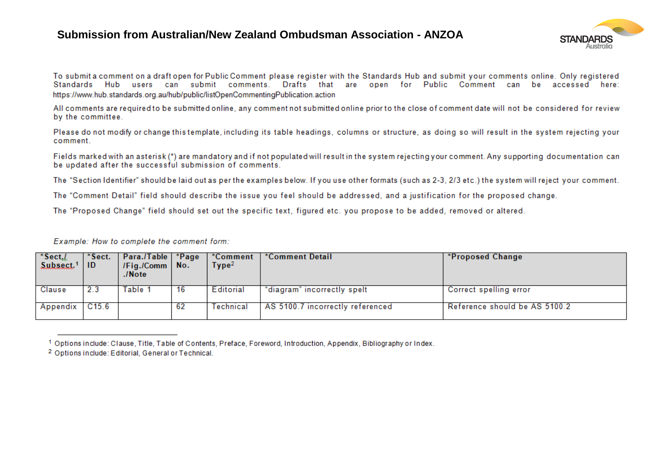## **Submission from Australian/New Zealand Ombudsman Association - ANZOA**



To submit a comment on a draft open for Public Comment please register with the Standards Hub and submit your comments online. Only registered Standards Hub users can submit comments. Drafts that are open for Public Comment can be accessed here: https://www.hub.standards.org.au/hub/public/listOpenCommentingPublication.action

All comments are required to be submitted online, any comment not submitted online prior to the close of comment date will not be considered for review by the committee.

Please do not modify or change this template, including its table headings, columns or structure, as doing so will result in the system rejecting your comment.

Fields marked with an asterisk (\*) are mandatory and if not populated will result in the system rejecting your comment. Any supporting documentation can be updated after the successful submission of comments.

The "Section Identifier" should be laid out as per the examples below. If you use other formats (such as 2-3, 2/3 etc.) the system will reject your comment.

The "Comment Detail" field should describe the issue you feel should be addressed, and a justification for the proposed change.

The "Proposed Change" field should set out the specific text, figured etc. you propose to be added, removed or altered.

Example: How to complete the comment form:

| *Sect./<br>Subsect. <sup>1</sup> | *Sect.<br>-ID | Para./Table   *Page<br>$\sqrt{Fig.}/Comm$ No.<br>$.$ /Note |     | *Comment<br>$\mathsf{Type^2}$ | *Comment Detail                  | *Proposed Change              |
|----------------------------------|---------------|------------------------------------------------------------|-----|-------------------------------|----------------------------------|-------------------------------|
| Clause                           | 2.3           | Table 1                                                    | -16 | Editorial                     | "diagram" incorrectly spelt      | Correct spelling error        |
| Appendix                         | C15.6         |                                                            | 62  | Technical                     | AS 5100.7 incorrectly referenced | Reference should be AS 5100.2 |

<sup>&</sup>lt;sup>1</sup> Options include: Clause, Title, Table of Contents, Preface, Foreword, Introduction, Appendix, Bibliography or Index.

<sup>&</sup>lt;sup>2</sup> Options include: Editorial, General or Technical.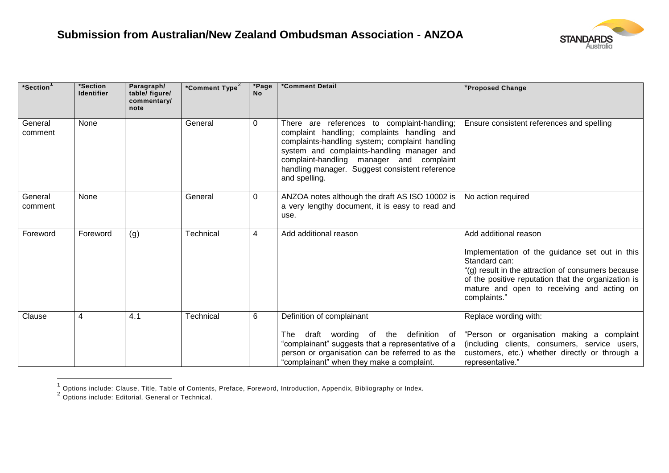

| *Section <sup>1</sup> | *Section<br><b>Identifier</b> | Paragraph/<br>table/ figure/<br>commentary/<br>note | *Comment Type <sup>2</sup> | *Page<br><b>No</b> | *Comment Detail                                                                                                                                                                                                                                                                                           | *Proposed Change                                                                                                                                                                                                                                                    |
|-----------------------|-------------------------------|-----------------------------------------------------|----------------------------|--------------------|-----------------------------------------------------------------------------------------------------------------------------------------------------------------------------------------------------------------------------------------------------------------------------------------------------------|---------------------------------------------------------------------------------------------------------------------------------------------------------------------------------------------------------------------------------------------------------------------|
| General<br>comment    | None                          |                                                     | General                    | $\mathbf 0$        | There are references to complaint-handling;<br>complaint handling; complaints handling and<br>complaints-handling system; complaint handling<br>system and complaints-handling manager and<br>complaint-handling manager and complaint<br>handling manager. Suggest consistent reference<br>and spelling. | Ensure consistent references and spelling                                                                                                                                                                                                                           |
| General<br>comment    | None                          |                                                     | General                    | 0                  | ANZOA notes although the draft AS ISO 10002 is  <br>a very lengthy document, it is easy to read and<br>use.                                                                                                                                                                                               | No action required                                                                                                                                                                                                                                                  |
| Foreword              | Foreword                      | (g)                                                 | Technical                  | 4                  | Add additional reason                                                                                                                                                                                                                                                                                     | Add additional reason<br>Implementation of the guidance set out in this<br>Standard can:<br>"(g) result in the attraction of consumers because<br>of the positive reputation that the organization is<br>mature and open to receiving and acting on<br>complaints." |
| Clause                | 4                             | 4.1                                                 | Technical                  | 6                  | Definition of complainant<br>"complainant" suggests that a representative of a<br>person or organisation can be referred to as the<br>"complainant" when they make a complaint.                                                                                                                           | Replace wording with:<br>The draft wording of the definition of "Person or organisation making a complaint<br>(including clients, consumers, service users,<br>customers, etc.) whether directly or through a<br>representative."                                   |

 1 Options include: Clause, Title, Table of Contents, Preface, Foreword, Introduction, Appendix, Bibliography or Index. 2 Options include: Editorial, General or Technical.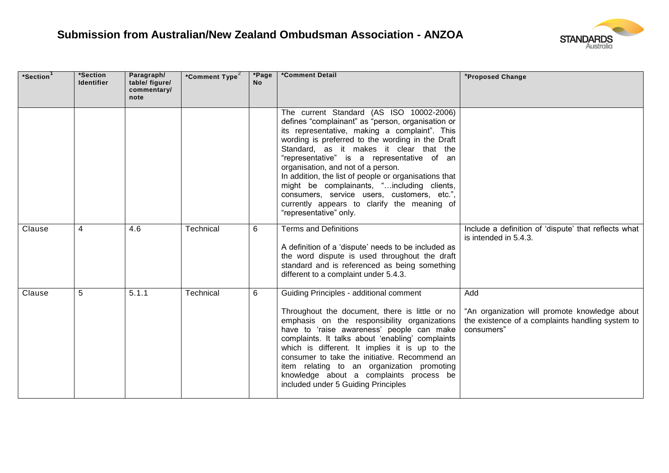

| *Section | *Section<br><b>Identifier</b> | Paragraph/<br>table/ figure/<br>commentary/<br>note | *Comment Type <sup>2</sup> | *Page<br><b>No</b> | *Comment Detail                                                                                                                                                                                                                                                                                                                                                                                                                                                                                                                                                  | *Proposed Change                                                                                                       |
|----------|-------------------------------|-----------------------------------------------------|----------------------------|--------------------|------------------------------------------------------------------------------------------------------------------------------------------------------------------------------------------------------------------------------------------------------------------------------------------------------------------------------------------------------------------------------------------------------------------------------------------------------------------------------------------------------------------------------------------------------------------|------------------------------------------------------------------------------------------------------------------------|
|          |                               |                                                     |                            |                    | The current Standard (AS ISO 10002-2006)<br>defines "complainant" as "person, organisation or<br>its representative, making a complaint". This<br>wording is preferred to the wording in the Draft<br>Standard, as it makes it clear that the<br>"representative" is a representative of an<br>organisation, and not of a person.<br>In addition, the list of people or organisations that<br>might be complainants, "including clients,<br>consumers, service users, customers, etc.",<br>currently appears to clarify the meaning of<br>"representative" only. |                                                                                                                        |
| Clause   | 4                             | 4.6                                                 | Technical                  | 6                  | <b>Terms and Definitions</b><br>A definition of a 'dispute' needs to be included as<br>the word dispute is used throughout the draft<br>standard and is referenced as being something<br>different to a complaint under 5.4.3.                                                                                                                                                                                                                                                                                                                                   | Include a definition of 'dispute' that reflects what<br>is intended in 5.4.3.                                          |
| Clause   | 5                             | 5.1.1                                               | Technical                  | 6                  | Guiding Principles - additional comment<br>Throughout the document, there is little or no<br>emphasis on the responsibility organizations<br>have to 'raise awareness' people can make<br>complaints. It talks about 'enabling' complaints<br>which is different. It implies it is up to the<br>consumer to take the initiative. Recommend an<br>item relating to an organization promoting<br>knowledge about a complaints process be<br>included under 5 Guiding Principles                                                                                    | Add<br>"An organization will promote knowledge about<br>the existence of a complaints handling system to<br>consumers" |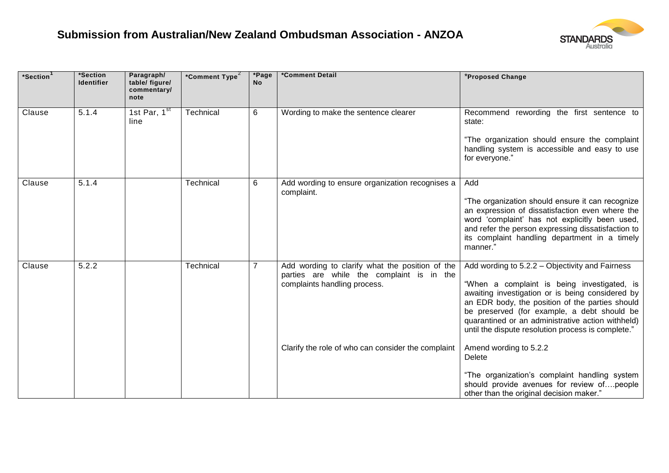

| *Section | *Section<br><b>Identifier</b> | Paragraph/<br>table/ figure/<br>commentary/<br>note | *Comment Type <sup>2</sup> | *Page<br><b>No</b> | *Comment Detail                                                                                                              | *Proposed Change                                                                                                                                                                                                                                                                                                                                                |
|----------|-------------------------------|-----------------------------------------------------|----------------------------|--------------------|------------------------------------------------------------------------------------------------------------------------------|-----------------------------------------------------------------------------------------------------------------------------------------------------------------------------------------------------------------------------------------------------------------------------------------------------------------------------------------------------------------|
| Clause   | 5.1.4                         | 1st Par, $1st$<br>line                              | Technical                  | 6                  | Wording to make the sentence clearer                                                                                         | Recommend rewording the first sentence to<br>state:<br>"The organization should ensure the complaint<br>handling system is accessible and easy to use<br>for everyone."                                                                                                                                                                                         |
| Clause   | 5.1.4                         |                                                     | Technical                  | 6                  | Add wording to ensure organization recognises a<br>complaint.                                                                | Add<br>"The organization should ensure it can recognize<br>an expression of dissatisfaction even where the<br>word 'complaint' has not explicitly been used,<br>and refer the person expressing dissatisfaction to<br>its complaint handling department in a timely<br>manner."                                                                                 |
| Clause   | 5.2.2                         |                                                     | Technical                  | $\overline{7}$     | Add wording to clarify what the position of the<br>parties are while the complaint is in the<br>complaints handling process. | Add wording to 5.2.2 - Objectivity and Fairness<br>"When a complaint is being investigated, is<br>awaiting investigation or is being considered by<br>an EDR body, the position of the parties should<br>be preserved (for example, a debt should be<br>quarantined or an administrative action withheld)<br>until the dispute resolution process is complete." |
|          |                               |                                                     |                            |                    | Clarify the role of who can consider the complaint                                                                           | Amend wording to 5.2.2<br>Delete<br>"The organization's complaint handling system<br>should provide avenues for review ofpeople<br>other than the original decision maker."                                                                                                                                                                                     |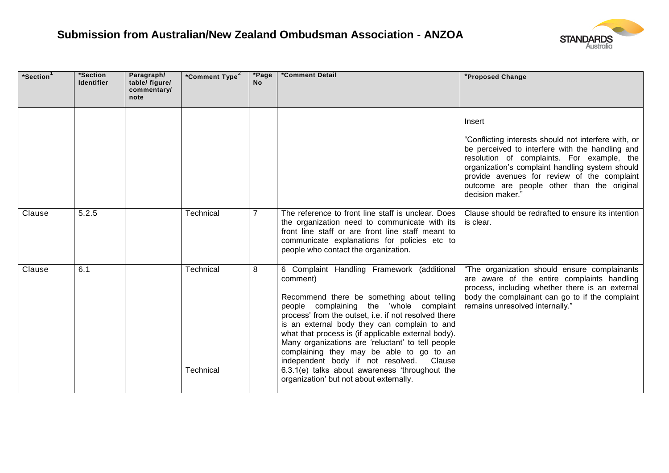

| *Section | *Section<br><b>Identifier</b> | Paragraph/<br>table/ figure/<br>commentary/<br>note | *Comment Type <sup>2</sup> | *Page<br><b>No</b> | *Comment Detail                                                                                                                                                                                                                                                                                                                                                                                                                                                                                                                                             | *Proposed Change                                                                                                                                                                                                                                                                                                                    |
|----------|-------------------------------|-----------------------------------------------------|----------------------------|--------------------|-------------------------------------------------------------------------------------------------------------------------------------------------------------------------------------------------------------------------------------------------------------------------------------------------------------------------------------------------------------------------------------------------------------------------------------------------------------------------------------------------------------------------------------------------------------|-------------------------------------------------------------------------------------------------------------------------------------------------------------------------------------------------------------------------------------------------------------------------------------------------------------------------------------|
|          |                               |                                                     |                            |                    |                                                                                                                                                                                                                                                                                                                                                                                                                                                                                                                                                             | Insert<br>"Conflicting interests should not interfere with, or<br>be perceived to interfere with the handling and<br>resolution of complaints. For example, the<br>organization's complaint handling system should<br>provide avenues for review of the complaint<br>outcome are people other than the original<br>decision maker." |
| Clause   | 5.2.5                         |                                                     | Technical                  | $\overline{7}$     | The reference to front line staff is unclear. Does<br>the organization need to communicate with its<br>front line staff or are front line staff meant to<br>communicate explanations for policies etc to<br>people who contact the organization.                                                                                                                                                                                                                                                                                                            | Clause should be redrafted to ensure its intention<br>is clear.                                                                                                                                                                                                                                                                     |
| Clause   | 6.1                           |                                                     | Technical<br>Technical     | 8                  | 6 Complaint Handling Framework (additional<br>comment)<br>Recommend there be something about telling<br>people complaining the 'whole complaint<br>process' from the outset, i.e. if not resolved there<br>is an external body they can complain to and<br>what that process is (if applicable external body).<br>Many organizations are 'reluctant' to tell people<br>complaining they may be able to go to an<br>independent body if not resolved.<br>Clause<br>6.3.1(e) talks about awareness 'throughout the<br>organization' but not about externally. | "The organization should ensure complainants<br>are aware of the entire complaints handling<br>process, including whether there is an external<br>body the complainant can go to if the complaint<br>remains unresolved internally."                                                                                                |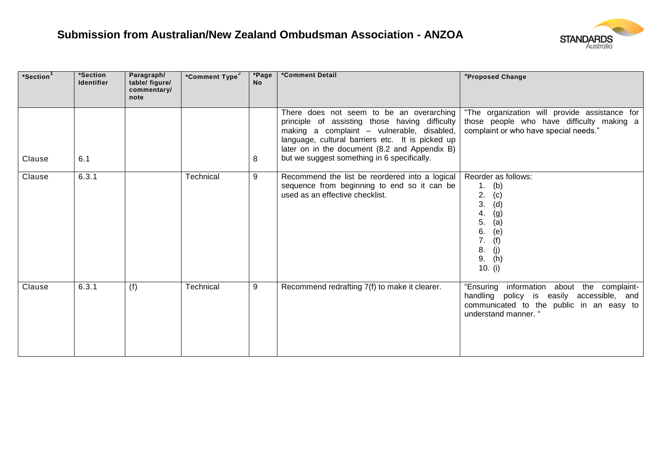

| *Section <sup>1</sup> | *Section<br><b>Identifier</b> | Paragraph/<br>table/ figure/<br>commentary/<br>note | *Comment Type <sup>2</sup> | *Page<br><b>No</b> | *Comment Detail                                                                                                                                                                                                                                                                              | *Proposed Change                                                                                                                                            |
|-----------------------|-------------------------------|-----------------------------------------------------|----------------------------|--------------------|----------------------------------------------------------------------------------------------------------------------------------------------------------------------------------------------------------------------------------------------------------------------------------------------|-------------------------------------------------------------------------------------------------------------------------------------------------------------|
| Clause                | 6.1                           |                                                     |                            | 8                  | There does not seem to be an overarching<br>principle of assisting those having difficulty<br>making a complaint - vulnerable, disabled,<br>language, cultural barriers etc. It is picked up<br>later on in the document (8.2 and Appendix B)<br>but we suggest something in 6 specifically. | "The organization will provide assistance for<br>those people who have difficulty making a<br>complaint or who have special needs."                         |
| Clause                | 6.3.1                         |                                                     | Technical                  | 9                  | Recommend the list be reordered into a logical<br>sequence from beginning to end so it can be<br>used as an effective checklist.                                                                                                                                                             | Reorder as follows:<br>(b)<br>1.<br>2.<br>(c)<br>(d)<br>3.<br>(g)<br>4.<br>(a)<br>5.<br>(e)<br>6.<br>(f)<br>7.<br>(j)<br>8.<br>(h)<br>9.<br>10. $(i)$       |
| Clause                | 6.3.1                         | (f)                                                 | Technical                  | 9                  | Recommend redrafting 7(f) to make it clearer.                                                                                                                                                                                                                                                | "Ensuring information about the complaint-<br>handling policy is easily accessible, and<br>communicated to the public in an easy to<br>understand manner. " |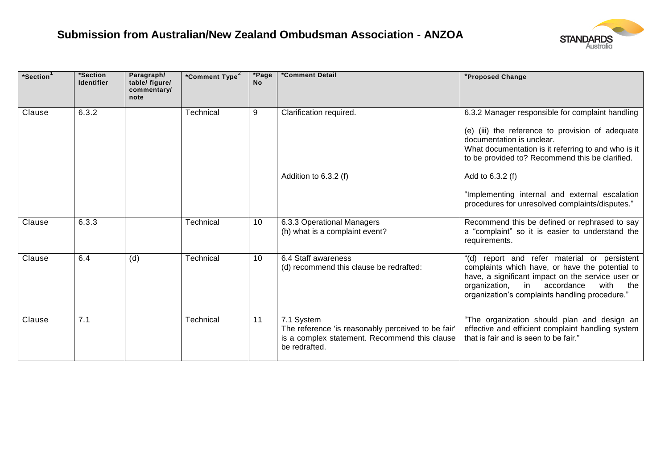

| *Section | *Section<br><b>Identifier</b> | Paragraph/<br>table/ figure/<br>commentary/<br>note | *Comment Type <sup>2</sup> | *Page<br><b>No</b> | *Comment Detail                                                                                                                    | *Proposed Change                                                                                                                                                                                                                                           |
|----------|-------------------------------|-----------------------------------------------------|----------------------------|--------------------|------------------------------------------------------------------------------------------------------------------------------------|------------------------------------------------------------------------------------------------------------------------------------------------------------------------------------------------------------------------------------------------------------|
| Clause   | 6.3.2                         |                                                     | Technical                  | 9                  | Clarification required.                                                                                                            | 6.3.2 Manager responsible for complaint handling<br>(e) (iii) the reference to provision of adequate<br>documentation is unclear.<br>What documentation is it referring to and who is it<br>to be provided to? Recommend this be clarified.                |
|          |                               |                                                     |                            |                    | Addition to 6.3.2 (f)                                                                                                              | Add to 6.3.2 (f)<br>"Implementing internal and external escalation<br>procedures for unresolved complaints/disputes."                                                                                                                                      |
| Clause   | 6.3.3                         |                                                     | Technical                  | 10                 | 6.3.3 Operational Managers<br>(h) what is a complaint event?                                                                       | Recommend this be defined or rephrased to say<br>a "complaint" so it is easier to understand the<br>requirements.                                                                                                                                          |
| Clause   | 6.4                           | (d)                                                 | Technical                  | 10                 | 6.4 Staff awareness<br>(d) recommend this clause be redrafted:                                                                     | report and refer material or persistent<br>"(d)<br>complaints which have, or have the potential to<br>have, a significant impact on the service user or<br>in accordance<br>organization,<br>with<br>the<br>organization's complaints handling procedure." |
| Clause   | 7.1                           |                                                     | Technical                  | 11                 | 7.1 System<br>The reference 'is reasonably perceived to be fair'<br>is a complex statement. Recommend this clause<br>be redrafted. | "The organization should plan and design an<br>effective and efficient complaint handling system<br>that is fair and is seen to be fair."                                                                                                                  |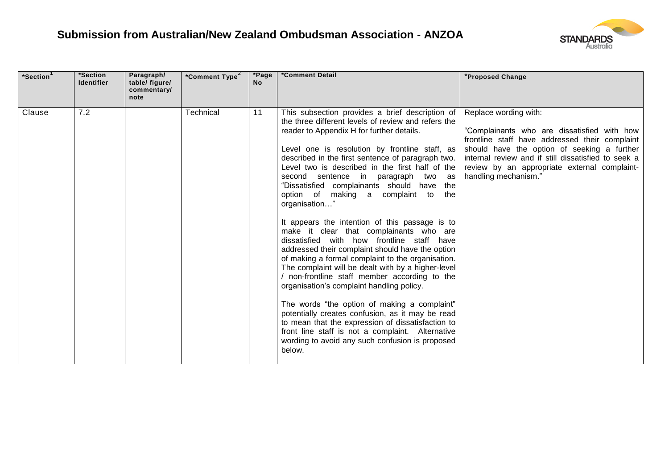

| *Section <sup>1</sup> | *Section<br><b>Identifier</b> | Paragraph/<br>table/ figure/<br>commentary/<br>note | *Comment Type <sup>2</sup> | *Page<br><b>No</b> | *Comment Detail                                                                                                                                                                                                                                                                                                                                                                                                                                                                                                                                                                                                                                                                                                                                                                                                                                                                                                                                                                                                                                                                                                                                 | *Proposed Change                                                                                                                                                                                                                                                                                     |
|-----------------------|-------------------------------|-----------------------------------------------------|----------------------------|--------------------|-------------------------------------------------------------------------------------------------------------------------------------------------------------------------------------------------------------------------------------------------------------------------------------------------------------------------------------------------------------------------------------------------------------------------------------------------------------------------------------------------------------------------------------------------------------------------------------------------------------------------------------------------------------------------------------------------------------------------------------------------------------------------------------------------------------------------------------------------------------------------------------------------------------------------------------------------------------------------------------------------------------------------------------------------------------------------------------------------------------------------------------------------|------------------------------------------------------------------------------------------------------------------------------------------------------------------------------------------------------------------------------------------------------------------------------------------------------|
| Clause                | 7.2                           |                                                     | Technical                  | 11                 | This subsection provides a brief description of<br>the three different levels of review and refers the<br>reader to Appendix H for further details.<br>Level one is resolution by frontline staff, as<br>described in the first sentence of paragraph two.<br>Level two is described in the first half of the<br>second sentence in paragraph two as<br>"Dissatisfied complainants should have the<br>option of making a complaint to<br>the<br>organisation'<br>It appears the intention of this passage is to<br>make it clear that complainants who are<br>dissatisfied with how frontline staff have<br>addressed their complaint should have the option<br>of making a formal complaint to the organisation.<br>The complaint will be dealt with by a higher-level<br>/ non-frontline staff member according to the<br>organisation's complaint handling policy.<br>The words "the option of making a complaint"<br>potentially creates confusion, as it may be read<br>to mean that the expression of dissatisfaction to<br>front line staff is not a complaint. Alternative<br>wording to avoid any such confusion is proposed<br>below. | Replace wording with:<br>"Complainants who are dissatisfied with how<br>frontline staff have addressed their complaint<br>should have the option of seeking a further<br>internal review and if still dissatisfied to seek a<br>review by an appropriate external complaint-<br>handling mechanism." |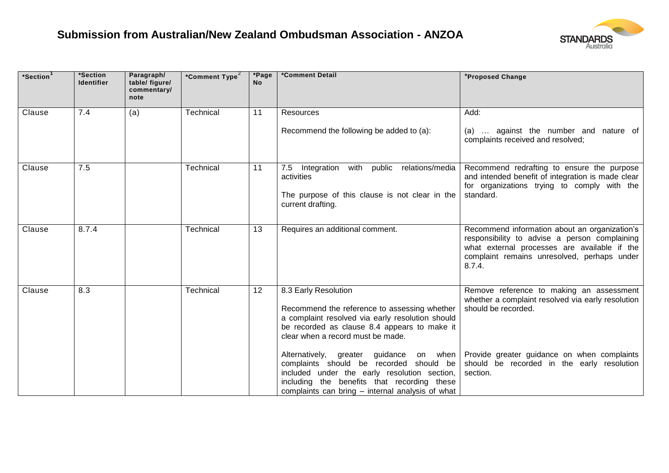

| *Section <sup>1</sup> | *Section<br><b>Identifier</b> | Paragraph/<br>table/ figure/<br>commentary/<br>note | *Comment Type <sup>2</sup> | *Page<br><b>No</b> | *Comment Detail                                                                                                                                                                                                               | *Proposed Change                                                                                                                                                                                        |
|-----------------------|-------------------------------|-----------------------------------------------------|----------------------------|--------------------|-------------------------------------------------------------------------------------------------------------------------------------------------------------------------------------------------------------------------------|---------------------------------------------------------------------------------------------------------------------------------------------------------------------------------------------------------|
| Clause                | 7.4                           | (a)                                                 | Technical                  | 11                 | Resources                                                                                                                                                                                                                     | Add:                                                                                                                                                                                                    |
|                       |                               |                                                     |                            |                    | Recommend the following be added to (a):                                                                                                                                                                                      | (a)  against the number and nature of<br>complaints received and resolved;                                                                                                                              |
| Clause                | 7.5                           |                                                     | Technical                  | 11                 | public<br>with<br>relations/media<br>7.5<br>Integration<br>activities<br>The purpose of this clause is not clear in the<br>current drafting.                                                                                  | Recommend redrafting to ensure the purpose<br>and intended benefit of integration is made clear<br>for organizations trying to comply with the<br>standard.                                             |
| Clause                | 8.7.4                         |                                                     | Technical                  | 13                 | Requires an additional comment.                                                                                                                                                                                               | Recommend information about an organization's<br>responsibility to advise a person complaining<br>what external processes are available if the<br>complaint remains unresolved, perhaps under<br>8.7.4. |
| Clause                | 8.3                           |                                                     | Technical                  | 12                 | 8.3 Early Resolution<br>Recommend the reference to assessing whether<br>a complaint resolved via early resolution should<br>be recorded as clause 8.4 appears to make it<br>clear when a record must be made.                 | Remove reference to making an assessment<br>whether a complaint resolved via early resolution<br>should be recorded.                                                                                    |
|                       |                               |                                                     |                            |                    | Alternatively, greater guidance<br>complaints should be recorded should be<br>included under the early resolution section,<br>including the benefits that recording these<br>complaints can bring - internal analysis of what | on when   Provide greater guidance on when complaints<br>should be recorded in the early resolution<br>section.                                                                                         |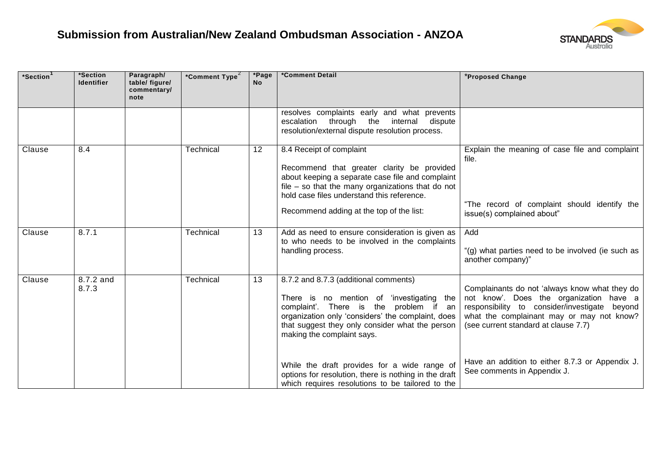

| *Section | *Section<br><b>Identifier</b> | Paragraph/<br>table/ figure/<br>commentary/<br>note | *Comment Type <sup>2</sup> | *Page<br><b>No</b> | *Comment Detail                                                                                                                                                                                                                                                             | *Proposed Change                                                                                                                                                                                                                  |
|----------|-------------------------------|-----------------------------------------------------|----------------------------|--------------------|-----------------------------------------------------------------------------------------------------------------------------------------------------------------------------------------------------------------------------------------------------------------------------|-----------------------------------------------------------------------------------------------------------------------------------------------------------------------------------------------------------------------------------|
|          |                               |                                                     |                            |                    | resolves complaints early and what prevents<br>escalation through the<br>internal<br>dispute<br>resolution/external dispute resolution process.                                                                                                                             |                                                                                                                                                                                                                                   |
| Clause   | 8.4                           |                                                     | Technical                  | 12                 | 8.4 Receipt of complaint<br>Recommend that greater clarity be provided<br>about keeping a separate case file and complaint<br>file $-$ so that the many organizations that do not<br>hold case files understand this reference.<br>Recommend adding at the top of the list: | Explain the meaning of case file and complaint<br>file.<br>"The record of complaint should identify the<br>issue(s) complained about"                                                                                             |
| Clause   | 8.7.1                         |                                                     | Technical                  | 13                 | Add as need to ensure consideration is given as<br>to who needs to be involved in the complaints<br>handling process.                                                                                                                                                       | Add<br>"(g) what parties need to be involved (ie such as<br>another company)"                                                                                                                                                     |
| Clause   | 8.7.2 and<br>8.7.3            |                                                     | Technical                  | 13                 | 8.7.2 and 8.7.3 (additional comments)<br>There is no mention of 'investigating<br>the I<br>complaint'. There is the problem if an<br>organization only 'considers' the complaint, does<br>that suggest they only consider what the person<br>making the complaint says.     | Complainants do not 'always know what they do<br>not know'. Does the organization have a<br>responsibility to consider/investigate<br>beyond<br>what the complainant may or may not know?<br>(see current standard at clause 7.7) |
|          |                               |                                                     |                            |                    | While the draft provides for a wide range of<br>options for resolution, there is nothing in the draft<br>which requires resolutions to be tailored to the                                                                                                                   | Have an addition to either 8.7.3 or Appendix J.<br>See comments in Appendix J.                                                                                                                                                    |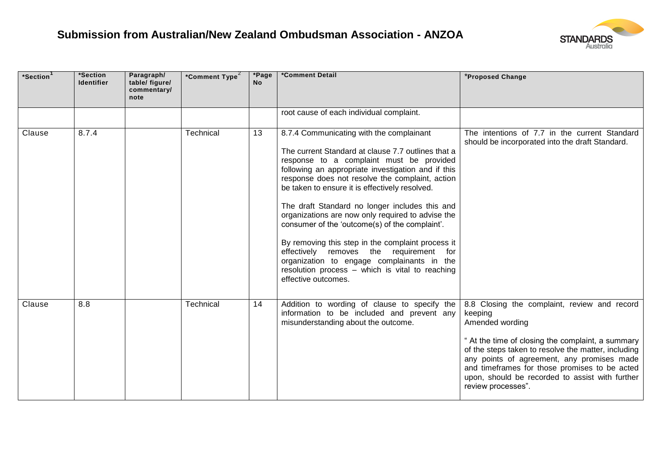

| *Section | *Section<br><b>Identifier</b> | Paragraph/<br>table/ figure/<br>commentary/<br>note | *Comment Type <sup>2</sup> | *Page<br><b>No</b> | *Comment Detail                                                                                                                                                                                                                                           | *Proposed Change                                                                                                                                                                                                                                                                 |
|----------|-------------------------------|-----------------------------------------------------|----------------------------|--------------------|-----------------------------------------------------------------------------------------------------------------------------------------------------------------------------------------------------------------------------------------------------------|----------------------------------------------------------------------------------------------------------------------------------------------------------------------------------------------------------------------------------------------------------------------------------|
|          |                               |                                                     |                            |                    | root cause of each individual complaint.                                                                                                                                                                                                                  |                                                                                                                                                                                                                                                                                  |
| Clause   | 8.7.4                         |                                                     | Technical                  | 13                 | 8.7.4 Communicating with the complainant                                                                                                                                                                                                                  | The intentions of 7.7 in the current Standard<br>should be incorporated into the draft Standard.                                                                                                                                                                                 |
|          |                               |                                                     |                            |                    | The current Standard at clause 7.7 outlines that a<br>response to a complaint must be provided<br>following an appropriate investigation and if this<br>response does not resolve the complaint, action<br>be taken to ensure it is effectively resolved. |                                                                                                                                                                                                                                                                                  |
|          |                               |                                                     |                            |                    | The draft Standard no longer includes this and<br>organizations are now only required to advise the<br>consumer of the 'outcome(s) of the complaint'.                                                                                                     |                                                                                                                                                                                                                                                                                  |
|          |                               |                                                     |                            |                    | By removing this step in the complaint process it<br>effectively removes the requirement for<br>organization to engage complainants in the<br>resolution process - which is vital to reaching<br>effective outcomes.                                      |                                                                                                                                                                                                                                                                                  |
| Clause   | 8.8                           |                                                     | Technical                  | 14                 | Addition to wording of clause to specify the<br>information to be included and prevent any<br>misunderstanding about the outcome.                                                                                                                         | 8.8 Closing the complaint, review and record<br>keeping<br>Amended wording                                                                                                                                                                                                       |
|          |                               |                                                     |                            |                    |                                                                                                                                                                                                                                                           | " At the time of closing the complaint, a summary<br>of the steps taken to resolve the matter, including<br>any points of agreement, any promises made<br>and timeframes for those promises to be acted<br>upon, should be recorded to assist with further<br>review processes". |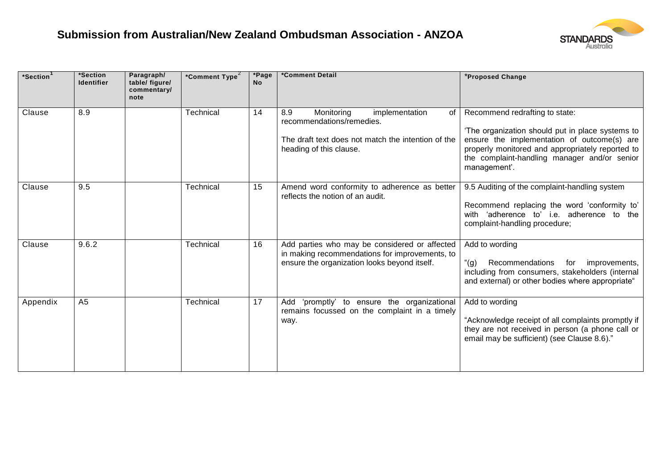

| *Section | *Section<br><b>Identifier</b> | Paragraph/<br>table/ figure/<br>commentary/<br>note | *Comment Type <sup>2</sup> | *Page<br><b>No</b> | *Comment Detail                                                                                                                                           | *Proposed Change                                                                                                                                                                                                                                      |
|----------|-------------------------------|-----------------------------------------------------|----------------------------|--------------------|-----------------------------------------------------------------------------------------------------------------------------------------------------------|-------------------------------------------------------------------------------------------------------------------------------------------------------------------------------------------------------------------------------------------------------|
| Clause   | 8.9                           |                                                     | Technical                  | 14                 | 8.9<br>Monitoring<br>implementation<br>of l<br>recommendations/remedies.<br>The draft text does not match the intention of the<br>heading of this clause. | Recommend redrafting to state:<br>'The organization should put in place systems to<br>ensure the implementation of outcome(s) are<br>properly monitored and appropriately reported to<br>the complaint-handling manager and/or senior<br>management'. |
| Clause   | 9.5                           |                                                     | Technical                  | 15                 | Amend word conformity to adherence as better<br>reflects the notion of an audit.                                                                          | 9.5 Auditing of the complaint-handling system<br>Recommend replacing the word 'conformity to'<br>with 'adherence to' i.e. adherence to the<br>complaint-handling procedure;                                                                           |
| Clause   | 9.6.2                         |                                                     | Technical                  | 16                 | Add parties who may be considered or affected<br>in making recommendations for improvements, to<br>ensure the organization looks beyond itself.           | Add to wording<br>" $(g)$ "<br>Recommendations<br>for<br>improvements,<br>including from consumers, stakeholders (internal<br>and external) or other bodies where appropriate"                                                                        |
| Appendix | A <sub>5</sub>                |                                                     | Technical                  | 17                 | 'promptly' to ensure the organizational<br>Add<br>remains focussed on the complaint in a timely<br>way.                                                   | Add to wording<br>"Acknowledge receipt of all complaints promptly if<br>they are not received in person (a phone call or<br>email may be sufficient) (see Clause 8.6)."                                                                               |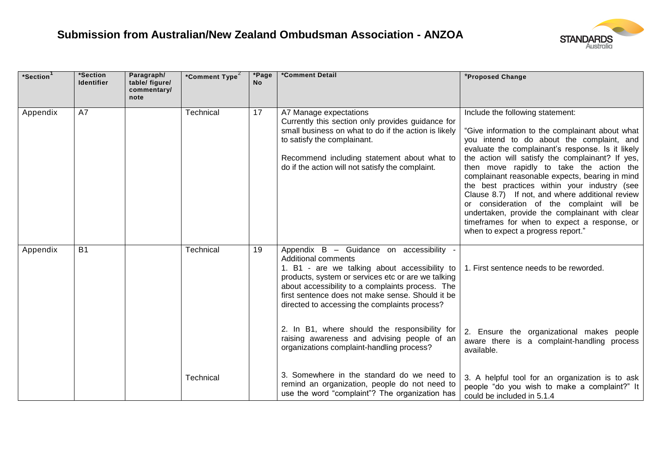

| *Section <sup>1</sup> | *Section<br><b>Identifier</b> | Paragraph/<br>table/ figure/<br>commentary/<br>note | *Comment Type <sup>2</sup> | *Page<br><b>No</b> | *Comment Detail                                                                                                                                                                                                                                                                                                                                                                                                                                                                     | *Proposed Change                                                                                                                                                                                                                                                                                                                                                                                                                                                                                                                                                                                                                 |
|-----------------------|-------------------------------|-----------------------------------------------------|----------------------------|--------------------|-------------------------------------------------------------------------------------------------------------------------------------------------------------------------------------------------------------------------------------------------------------------------------------------------------------------------------------------------------------------------------------------------------------------------------------------------------------------------------------|----------------------------------------------------------------------------------------------------------------------------------------------------------------------------------------------------------------------------------------------------------------------------------------------------------------------------------------------------------------------------------------------------------------------------------------------------------------------------------------------------------------------------------------------------------------------------------------------------------------------------------|
| Appendix              | A7                            |                                                     | Technical                  | 17                 | A7 Manage expectations<br>Currently this section only provides guidance for<br>small business on what to do if the action is likely<br>to satisfy the complainant.<br>Recommend including statement about what to<br>do if the action will not satisfy the complaint.                                                                                                                                                                                                               | Include the following statement:<br>"Give information to the complainant about what<br>you intend to do about the complaint, and<br>evaluate the complainant's response. Is it likely<br>the action will satisfy the complainant? If yes,<br>then move rapidly to take the action the<br>complainant reasonable expects, bearing in mind<br>the best practices within your industry (see<br>Clause 8.7) If not, and where additional review<br>or consideration of the complaint will be<br>undertaken, provide the complainant with clear<br>timeframes for when to expect a response, or<br>when to expect a progress report." |
| Appendix              | <b>B1</b>                     |                                                     | Technical                  | 19                 | Appendix B - Guidance on accessibility -<br><b>Additional comments</b><br>1. B1 - are we talking about accessibility to<br>products, system or services etc or are we talking<br>about accessibility to a complaints process. The<br>first sentence does not make sense. Should it be<br>directed to accessing the complaints process?<br>2. In B1, where should the responsibility for<br>raising awareness and advising people of an<br>organizations complaint-handling process? | 1. First sentence needs to be reworded.<br>2. Ensure the organizational makes people<br>aware there is a complaint-handling process<br>available.                                                                                                                                                                                                                                                                                                                                                                                                                                                                                |
|                       |                               |                                                     | Technical                  |                    | 3. Somewhere in the standard do we need to<br>remind an organization, people do not need to<br>use the word "complaint"? The organization has                                                                                                                                                                                                                                                                                                                                       | 3. A helpful tool for an organization is to ask<br>people "do you wish to make a complaint?" It<br>could be included in 5.1.4                                                                                                                                                                                                                                                                                                                                                                                                                                                                                                    |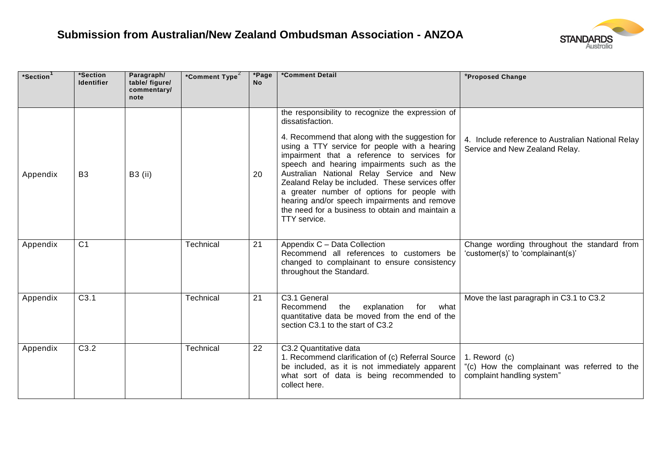

| *Section <sup>1</sup> | *Section<br><b>Identifier</b> | Paragraph/<br>table/ figure/<br>commentary/<br>note | *Comment Type <sup>2</sup> | *Page<br><b>No</b> | *Comment Detail                                                                                                                                                                                                                                                                                                                                                                                                                                                  | *Proposed Change                                                                            |
|-----------------------|-------------------------------|-----------------------------------------------------|----------------------------|--------------------|------------------------------------------------------------------------------------------------------------------------------------------------------------------------------------------------------------------------------------------------------------------------------------------------------------------------------------------------------------------------------------------------------------------------------------------------------------------|---------------------------------------------------------------------------------------------|
|                       |                               |                                                     |                            |                    | the responsibility to recognize the expression of<br>dissatisfaction.                                                                                                                                                                                                                                                                                                                                                                                            |                                                                                             |
| Appendix              | B <sub>3</sub>                | <b>B3</b> (ii)                                      |                            | 20                 | 4. Recommend that along with the suggestion for<br>using a TTY service for people with a hearing<br>impairment that a reference to services for<br>speech and hearing impairments such as the<br>Australian National Relay Service and New<br>Zealand Relay be included. These services offer<br>a greater number of options for people with<br>hearing and/or speech impairments and remove<br>the need for a business to obtain and maintain a<br>TTY service. | 4. Include reference to Australian National Relay<br>Service and New Zealand Relay.         |
| Appendix              | C <sub>1</sub>                |                                                     | Technical                  | 21                 | Appendix C - Data Collection<br>Recommend all references to customers be<br>changed to complainant to ensure consistency<br>throughout the Standard.                                                                                                                                                                                                                                                                                                             | Change wording throughout the standard from<br>'customer(s)' to 'complainant(s)'            |
| Appendix              | C3.1                          |                                                     | Technical                  | 21                 | C3.1 General<br>the<br>explanation<br>Recommend<br>for<br>what<br>quantitative data be moved from the end of the<br>section C3.1 to the start of C3.2                                                                                                                                                                                                                                                                                                            | Move the last paragraph in C3.1 to C3.2                                                     |
| Appendix              | C3.2                          |                                                     | Technical                  | 22                 | C3.2 Quantitative data<br>1. Recommend clarification of (c) Referral Source<br>be included, as it is not immediately apparent<br>what sort of data is being recommended to<br>collect here.                                                                                                                                                                                                                                                                      | 1. Reword (c)<br>"(c) How the complainant was referred to the<br>complaint handling system" |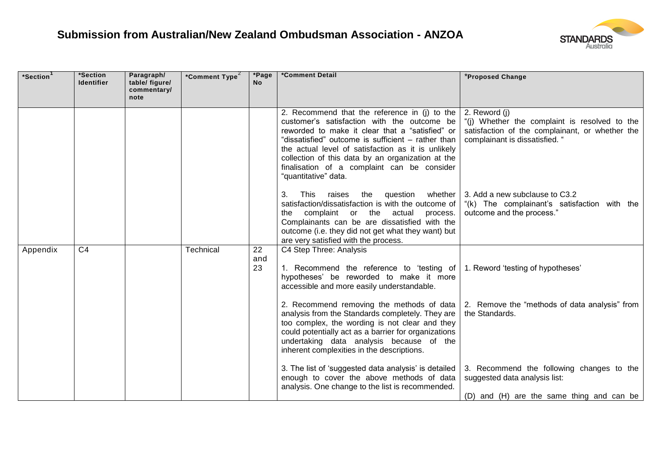

| *Section | *Section<br><b>Identifier</b> | Paragraph/<br>table/ figure/<br>commentary/<br>note | *Comment Type <sup>2</sup> | *Page<br><b>No</b> | *Comment Detail                                                                                                                                                                                                                                                                                                                                                                         | *Proposed Change                                                                                                                                    |
|----------|-------------------------------|-----------------------------------------------------|----------------------------|--------------------|-----------------------------------------------------------------------------------------------------------------------------------------------------------------------------------------------------------------------------------------------------------------------------------------------------------------------------------------------------------------------------------------|-----------------------------------------------------------------------------------------------------------------------------------------------------|
|          |                               |                                                     |                            |                    | 2. Recommend that the reference in (j) to the<br>customer's satisfaction with the outcome be<br>reworded to make it clear that a "satisfied" or<br>"dissatisfied" outcome is sufficient - rather than<br>the actual level of satisfaction as it is unlikely<br>collection of this data by an organization at the<br>finalisation of a complaint can be consider<br>"quantitative" data. | 2. Reword (j)<br>"(i) Whether the complaint is resolved to the<br>satisfaction of the complainant, or whether the<br>complainant is dissatisfied. " |
|          |                               |                                                     |                            |                    | question<br>whether<br>3.<br>This<br>raises<br>the<br>satisfaction/dissatisfaction is with the outcome of<br>complaint or the actual<br>process.<br>the<br>Complainants can be are dissatisfied with the<br>outcome (i.e. they did not get what they want) but<br>are very satisfied with the process.                                                                                  | 3. Add a new subclause to C3.2<br>"(k) The complainant's satisfaction with the<br>outcome and the process."                                         |
| Appendix | C <sub>4</sub>                |                                                     | Technical                  | 22<br>and<br>23    | C4 Step Three: Analysis<br>1. Recommend the reference to 'testing of<br>hypotheses' be reworded to make it more<br>accessible and more easily understandable.                                                                                                                                                                                                                           | 1. Reword 'testing of hypotheses'                                                                                                                   |
|          |                               |                                                     |                            |                    | analysis from the Standards completely. They are<br>too complex, the wording is not clear and they<br>could potentially act as a barrier for organizations<br>undertaking data analysis because of the<br>inherent complexities in the descriptions.                                                                                                                                    | 2. Recommend removing the methods of data 2. Remove the "methods of data analysis" from<br>the Standards.                                           |
|          |                               |                                                     |                            |                    | 3. The list of 'suggested data analysis' is detailed<br>enough to cover the above methods of data<br>analysis. One change to the list is recommended.                                                                                                                                                                                                                                   | 3. Recommend the following changes to the<br>suggested data analysis list:<br>(D) and (H) are the same thing and can be                             |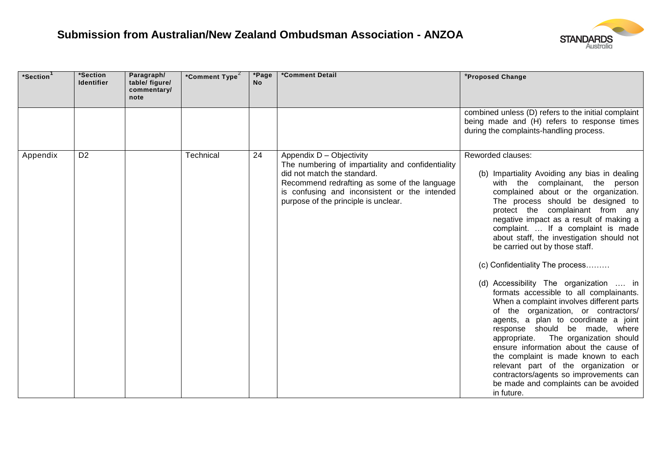

| *Section<br>*Section<br><b>Identifier</b> | Paragraph/<br>table/ figure/<br>commentary/<br>note | *Comment Type <sup>2</sup> | *Page<br><b>No</b> | *Comment Detail                                                                                                                                                                                                                                       | *Proposed Change                                                                                                                                                                                                                                                                                                                                                                                                                                                                                                                                                                                                                                                                                                                                                                                                                                                                                                                                    |
|-------------------------------------------|-----------------------------------------------------|----------------------------|--------------------|-------------------------------------------------------------------------------------------------------------------------------------------------------------------------------------------------------------------------------------------------------|-----------------------------------------------------------------------------------------------------------------------------------------------------------------------------------------------------------------------------------------------------------------------------------------------------------------------------------------------------------------------------------------------------------------------------------------------------------------------------------------------------------------------------------------------------------------------------------------------------------------------------------------------------------------------------------------------------------------------------------------------------------------------------------------------------------------------------------------------------------------------------------------------------------------------------------------------------|
|                                           |                                                     |                            |                    |                                                                                                                                                                                                                                                       | combined unless (D) refers to the initial complaint<br>being made and (H) refers to response times<br>during the complaints-handling process.                                                                                                                                                                                                                                                                                                                                                                                                                                                                                                                                                                                                                                                                                                                                                                                                       |
| D <sub>2</sub><br>Appendix                |                                                     | Technical                  | 24                 | Appendix D - Objectivity<br>The numbering of impartiality and confidentiality<br>did not match the standard.<br>Recommend redrafting as some of the language<br>is confusing and inconsistent or the intended<br>purpose of the principle is unclear. | Reworded clauses:<br>(b) Impartiality Avoiding any bias in dealing<br>with the complainant, the person<br>complained about or the organization.<br>The process should be designed to<br>protect the complainant from any<br>negative impact as a result of making a<br>complaint.  If a complaint is made<br>about staff, the investigation should not<br>be carried out by those staff.<br>(c) Confidentiality The process<br>(d) Accessibility The organization  in<br>formats accessible to all complainants.<br>When a complaint involves different parts<br>of the organization, or contractors/<br>agents, a plan to coordinate a joint<br>response should be made, where<br>The organization should<br>appropriate.<br>ensure information about the cause of<br>the complaint is made known to each<br>relevant part of the organization or<br>contractors/agents so improvements can<br>be made and complaints can be avoided<br>in future. |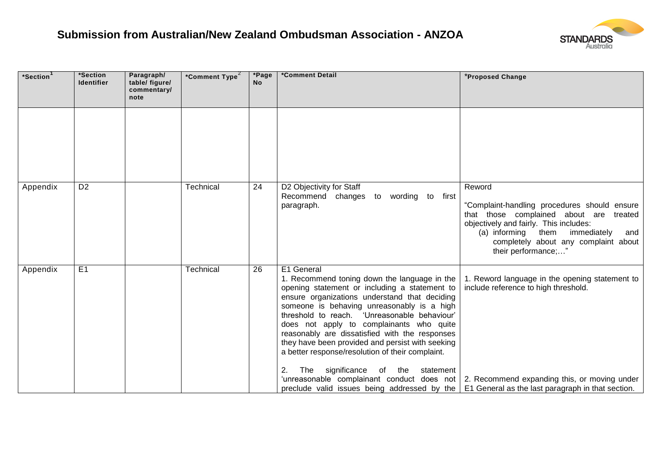

| *Section | *Section<br><b>Identifier</b> | Paragraph/<br>table/ figure/<br>commentary/<br>note | *Comment Type <sup>2</sup> | *Page<br><b>No</b> | *Comment Detail                                                                                                                                                                                                                                                                                                                                                                                                                                                                                                                                                                                                                   | *Proposed Change                                                                                                                                                                                                                                          |
|----------|-------------------------------|-----------------------------------------------------|----------------------------|--------------------|-----------------------------------------------------------------------------------------------------------------------------------------------------------------------------------------------------------------------------------------------------------------------------------------------------------------------------------------------------------------------------------------------------------------------------------------------------------------------------------------------------------------------------------------------------------------------------------------------------------------------------------|-----------------------------------------------------------------------------------------------------------------------------------------------------------------------------------------------------------------------------------------------------------|
|          |                               |                                                     |                            |                    |                                                                                                                                                                                                                                                                                                                                                                                                                                                                                                                                                                                                                                   |                                                                                                                                                                                                                                                           |
| Appendix | D <sub>2</sub>                |                                                     | Technical                  | 24                 | D2 Objectivity for Staff<br>Recommend changes<br>to<br>wording to first<br>paragraph.                                                                                                                                                                                                                                                                                                                                                                                                                                                                                                                                             | Reword<br>"Complaint-handling procedures should ensure<br>that those complained about are treated<br>objectively and fairly. This includes:<br>(a) informing<br>them<br>immediately<br>and<br>completely about any complaint about<br>their performance;" |
| Appendix | E <sub>1</sub>                |                                                     | Technical                  | 26                 | E1 General<br>1. Recommend toning down the language in the<br>opening statement or including a statement to<br>ensure organizations understand that deciding<br>someone is behaving unreasonably is a high<br>threshold to reach. 'Unreasonable behaviour'<br>does not apply to complainants who quite<br>reasonably are dissatisfied with the responses<br>they have been provided and persist with seeking<br>a better response/resolution of their complaint.<br>2.<br>significance<br>the<br>statement<br>The<br>of<br>preclude valid issues being addressed by the $\vert$ E1 General as the last paragraph in that section. | 1. Reword language in the opening statement to<br>include reference to high threshold.<br>'unreasonable complainant conduct does not 2. Recommend expanding this, or moving under                                                                         |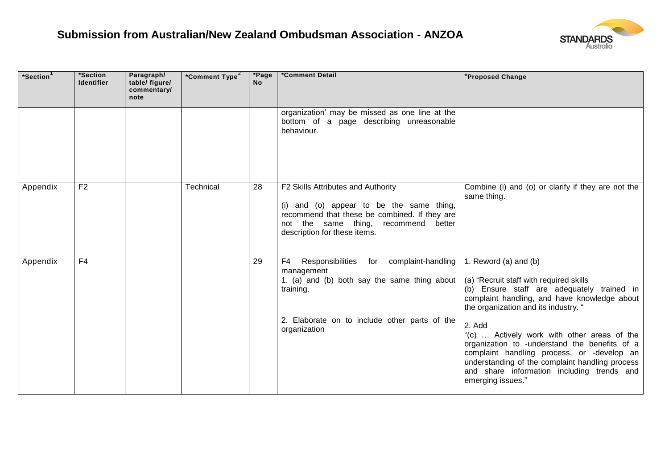

| *Section <sup>1</sup> | *Section<br><b>Identifier</b> | Paragraph/<br>table/ figure/<br>commentary/<br>note | *Comment Type <sup>2</sup> | *Page<br><b>No</b> | *Comment Detail                                                                                                                                                                                               | *Proposed Change                                                                                                                                                                                                                                                                                                                                                                                                                                                                     |
|-----------------------|-------------------------------|-----------------------------------------------------|----------------------------|--------------------|---------------------------------------------------------------------------------------------------------------------------------------------------------------------------------------------------------------|--------------------------------------------------------------------------------------------------------------------------------------------------------------------------------------------------------------------------------------------------------------------------------------------------------------------------------------------------------------------------------------------------------------------------------------------------------------------------------------|
|                       |                               |                                                     |                            |                    | organization' may be missed as one line at the<br>bottom of a page describing unreasonable<br>behaviour.                                                                                                      |                                                                                                                                                                                                                                                                                                                                                                                                                                                                                      |
| Appendix              | F <sub>2</sub>                |                                                     | Technical                  | 28                 | F2 Skills Attributes and Authority<br>(i) and (o) appear to be the same thing,<br>recommend that these be combined. If they are<br>not the same thing,<br>recommend<br>better<br>description for these items. | Combine (i) and (o) or clarify if they are not the<br>same thing.                                                                                                                                                                                                                                                                                                                                                                                                                    |
| Appendix              | F <sub>4</sub>                |                                                     |                            | 29                 | Responsibilities<br>complaint-handling<br>F4<br>for<br>management<br>1. (a) and (b) both say the same thing about<br>training.<br>2. Elaborate on to include other parts of the<br>organization               | 1. Reword (a) and (b)<br>(a) "Recruit staff with required skills<br>(b) Ensure staff are adequately trained in<br>complaint handling, and have knowledge about<br>the organization and its industry. "<br>2. Add<br>"(c)  Actively work with other areas of the<br>organization to -understand the benefits of a<br>complaint handling process, or -develop an<br>understanding of the complaint handling process<br>and share information including trends and<br>emerging issues." |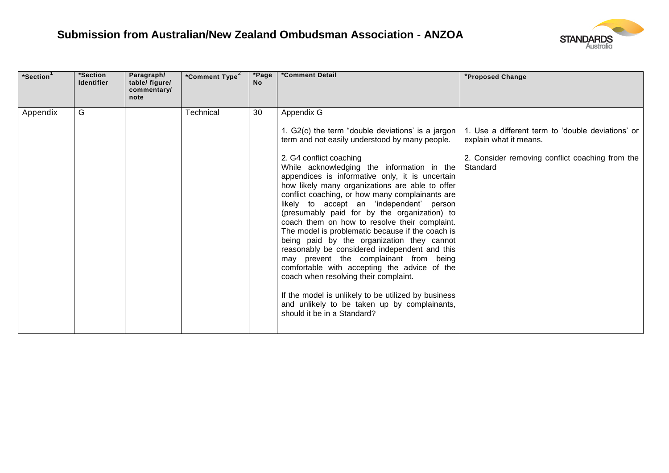

| *Section <sup>1</sup> | *Section<br><b>Identifier</b> | Paragraph/<br>table/ figure/<br>commentary/<br>note | *Comment Type <sup>2</sup> | *Page<br><b>No</b> | *Comment Detail                                                                                                                                                                                                                                                                                                                                                                                                                                                                                                                                                                                                                                                                                                                                                                                                                                                                      | *Proposed Change                                                                                                                                                                               |
|-----------------------|-------------------------------|-----------------------------------------------------|----------------------------|--------------------|--------------------------------------------------------------------------------------------------------------------------------------------------------------------------------------------------------------------------------------------------------------------------------------------------------------------------------------------------------------------------------------------------------------------------------------------------------------------------------------------------------------------------------------------------------------------------------------------------------------------------------------------------------------------------------------------------------------------------------------------------------------------------------------------------------------------------------------------------------------------------------------|------------------------------------------------------------------------------------------------------------------------------------------------------------------------------------------------|
| Appendix              | G                             |                                                     | Technical                  | 30                 | Appendix $\overline{G}$<br>term and not easily understood by many people.<br>2. G4 conflict coaching<br>While acknowledging the information in the<br>appendices is informative only, it is uncertain<br>how likely many organizations are able to offer<br>conflict coaching, or how many complainants are<br>likely to accept an 'independent' person<br>(presumably paid for by the organization) to<br>coach them on how to resolve their complaint.<br>The model is problematic because if the coach is<br>being paid by the organization they cannot<br>reasonably be considered independent and this<br>may prevent the complainant from being<br>comfortable with accepting the advice of the<br>coach when resolving their complaint.<br>If the model is unlikely to be utilized by business<br>and unlikely to be taken up by complainants,<br>should it be in a Standard? | 1. G2(c) the term "double deviations' is a jargon   1. Use a different term to 'double deviations' or<br>explain what it means.<br>2. Consider removing conflict coaching from the<br>Standard |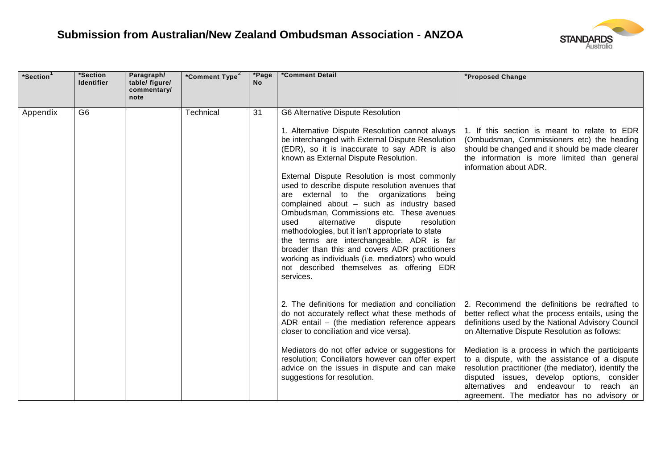

| *Section | *Section<br><b>Identifier</b> | Paragraph/<br>table/ figure/<br>commentary/<br>note | *Comment Type <sup>2</sup> | *Page<br><b>No</b> | *Comment Detail                                                                                                                                                                                                                                                                                                                                                                                                                                                                                                                                        | *Proposed Change                                                                                                                                                                                                                                                                                    |
|----------|-------------------------------|-----------------------------------------------------|----------------------------|--------------------|--------------------------------------------------------------------------------------------------------------------------------------------------------------------------------------------------------------------------------------------------------------------------------------------------------------------------------------------------------------------------------------------------------------------------------------------------------------------------------------------------------------------------------------------------------|-----------------------------------------------------------------------------------------------------------------------------------------------------------------------------------------------------------------------------------------------------------------------------------------------------|
|          |                               |                                                     |                            |                    |                                                                                                                                                                                                                                                                                                                                                                                                                                                                                                                                                        |                                                                                                                                                                                                                                                                                                     |
| Appendix | G <sub>6</sub>                |                                                     | Technical                  | $\overline{31}$    | G6 Alternative Dispute Resolution<br>1. Alternative Dispute Resolution cannot always<br>be interchanged with External Dispute Resolution                                                                                                                                                                                                                                                                                                                                                                                                               | 1. If this section is meant to relate to EDR<br>(Ombudsman, Commissioners etc) the heading                                                                                                                                                                                                          |
|          |                               |                                                     |                            |                    | (EDR), so it is inaccurate to say ADR is also<br>known as External Dispute Resolution.                                                                                                                                                                                                                                                                                                                                                                                                                                                                 | should be changed and it should be made clearer<br>the information is more limited than general<br>information about ADR.                                                                                                                                                                           |
|          |                               |                                                     |                            |                    | External Dispute Resolution is most commonly<br>used to describe dispute resolution avenues that<br>are external to the organizations being<br>complained about - such as industry based<br>Ombudsman, Commissions etc. These avenues<br>alternative<br>dispute<br>resolution<br>used<br>methodologies, but it isn't appropriate to state<br>the terms are interchangeable. ADR is far<br>broader than this and covers ADR practitioners<br>working as individuals (i.e. mediators) who would<br>not described themselves as offering EDR<br>services. |                                                                                                                                                                                                                                                                                                     |
|          |                               |                                                     |                            |                    | 2. The definitions for mediation and conciliation<br>do not accurately reflect what these methods of<br>ADR entail - (the mediation reference appears<br>closer to conciliation and vice versa).                                                                                                                                                                                                                                                                                                                                                       | 2. Recommend the definitions be redrafted to<br>better reflect what the process entails, using the<br>definitions used by the National Advisory Council<br>on Alternative Dispute Resolution as follows:                                                                                            |
|          |                               |                                                     |                            |                    | Mediators do not offer advice or suggestions for<br>resolution; Conciliators however can offer expert<br>advice on the issues in dispute and can make<br>suggestions for resolution.                                                                                                                                                                                                                                                                                                                                                                   | Mediation is a process in which the participants<br>to a dispute, with the assistance of a dispute<br>resolution practitioner (the mediator), identify the<br>disputed issues, develop options, consider<br>endeavour to reach an<br>alternatives and<br>agreement. The mediator has no advisory or |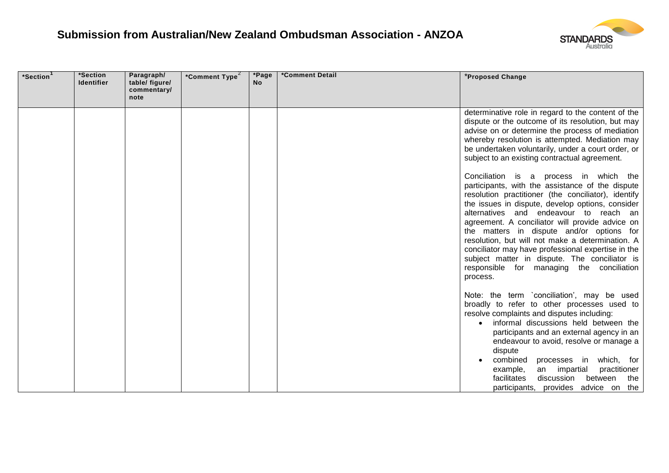

| *Section | *Section<br><b>Identifier</b> | Paragraph/<br>table/ figure/<br>commentary/<br>note | *Comment Type <sup>2</sup> | *Page<br><b>No</b> | *Comment Detail | *Proposed Change                                                                                                                                                                                                                                                                                                                                                                                                                                                                                                                                                    |
|----------|-------------------------------|-----------------------------------------------------|----------------------------|--------------------|-----------------|---------------------------------------------------------------------------------------------------------------------------------------------------------------------------------------------------------------------------------------------------------------------------------------------------------------------------------------------------------------------------------------------------------------------------------------------------------------------------------------------------------------------------------------------------------------------|
|          |                               |                                                     |                            |                    |                 | determinative role in regard to the content of the<br>dispute or the outcome of its resolution, but may<br>advise on or determine the process of mediation<br>whereby resolution is attempted. Mediation may<br>be undertaken voluntarily, under a court order, or<br>subject to an existing contractual agreement.                                                                                                                                                                                                                                                 |
|          |                               |                                                     |                            |                    |                 | Conciliation is a process in which the<br>participants, with the assistance of the dispute<br>resolution practitioner (the conciliator), identify<br>the issues in dispute, develop options, consider<br>alternatives and endeavour to reach an<br>agreement. A conciliator will provide advice on<br>the matters in dispute and/or options for<br>resolution, but will not make a determination. A<br>conciliator may have professional expertise in the<br>subject matter in dispute. The conciliator is<br>responsible for managing the conciliation<br>process. |
|          |                               |                                                     |                            |                    |                 | Note: the term `conciliation', may be used<br>broadly to refer to other processes used to<br>resolve complaints and disputes including:<br>informal discussions held between the<br>$\bullet$<br>participants and an external agency in an<br>endeavour to avoid, resolve or manage a<br>dispute<br>combined<br>processes in which, for<br>an impartial<br>practitioner<br>example,<br>facilitates<br>discussion<br>between<br>the<br>participants, provides advice on the                                                                                          |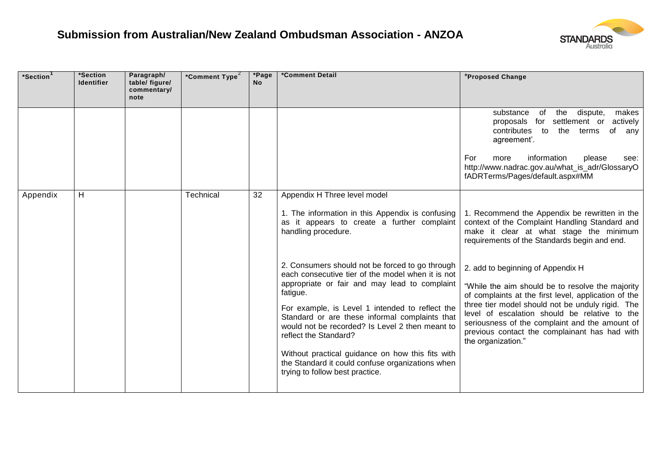

| *Section | *Section<br><b>Identifier</b> | Paragraph/<br>table/ figure/<br>commentary/<br>note | *Comment Type <sup>2</sup> | *Page<br><b>No</b> | *Comment Detail                                                                                                                                                                                                                                                                                                                                                                                                                                                                                                                                                                                                                                         | *Proposed Change                                                                                                                                                                                                                                                                                                                                                                                                                                                                                                                                                          |
|----------|-------------------------------|-----------------------------------------------------|----------------------------|--------------------|---------------------------------------------------------------------------------------------------------------------------------------------------------------------------------------------------------------------------------------------------------------------------------------------------------------------------------------------------------------------------------------------------------------------------------------------------------------------------------------------------------------------------------------------------------------------------------------------------------------------------------------------------------|---------------------------------------------------------------------------------------------------------------------------------------------------------------------------------------------------------------------------------------------------------------------------------------------------------------------------------------------------------------------------------------------------------------------------------------------------------------------------------------------------------------------------------------------------------------------------|
|          |                               |                                                     |                            |                    |                                                                                                                                                                                                                                                                                                                                                                                                                                                                                                                                                                                                                                                         | the<br>dispute,<br>substance<br>of<br>makes<br>proposals for settlement or<br>actively<br>to<br>contributes<br>the terms<br>of<br>any<br>agreement'.<br>information<br>For<br>more<br>please<br>see:                                                                                                                                                                                                                                                                                                                                                                      |
|          |                               |                                                     |                            |                    |                                                                                                                                                                                                                                                                                                                                                                                                                                                                                                                                                                                                                                                         | http://www.nadrac.gov.au/what_is_adr/GlossaryO<br>fADRTerms/Pages/default.aspx#MM                                                                                                                                                                                                                                                                                                                                                                                                                                                                                         |
| Appendix | H                             |                                                     | <b>Technical</b>           | 32                 | Appendix H Three level model<br>1. The information in this Appendix is confusing<br>as it appears to create a further complaint<br>handling procedure.<br>2. Consumers should not be forced to go through<br>each consecutive tier of the model when it is not<br>appropriate or fair and may lead to complaint<br>fatigue.<br>For example, is Level 1 intended to reflect the<br>Standard or are these informal complaints that<br>would not be recorded? Is Level 2 then meant to<br>reflect the Standard?<br>Without practical guidance on how this fits with<br>the Standard it could confuse organizations when<br>trying to follow best practice. | 1. Recommend the Appendix be rewritten in the<br>context of the Complaint Handling Standard and<br>make it clear at what stage the minimum<br>requirements of the Standards begin and end.<br>2. add to beginning of Appendix H<br>"While the aim should be to resolve the majority<br>of complaints at the first level, application of the<br>three tier model should not be unduly rigid. The<br>level of escalation should be relative to the<br>seriousness of the complaint and the amount of<br>previous contact the complainant has had with<br>the organization." |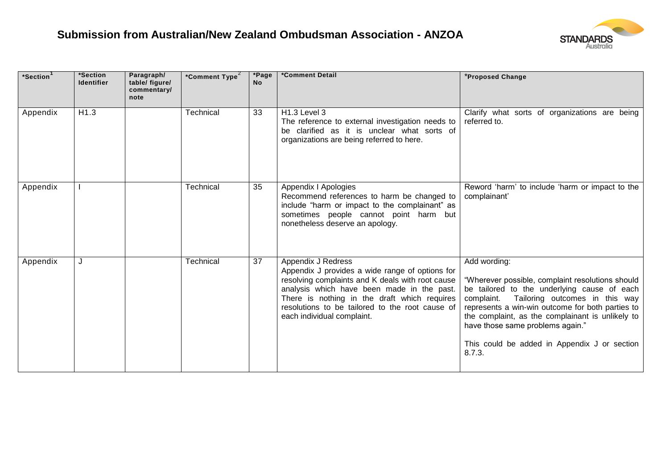

| *Section <sup>1</sup> | *Section<br><b>Identifier</b> | Paragraph/<br>table/ figure/<br>commentary/<br>note | *Comment Type <sup>2</sup> | *Page<br><b>No</b> | *Comment Detail                                                                                                                                                                                                                                                                                          | *Proposed Change                                                                                                                                                                                                                                                                                                                                                      |
|-----------------------|-------------------------------|-----------------------------------------------------|----------------------------|--------------------|----------------------------------------------------------------------------------------------------------------------------------------------------------------------------------------------------------------------------------------------------------------------------------------------------------|-----------------------------------------------------------------------------------------------------------------------------------------------------------------------------------------------------------------------------------------------------------------------------------------------------------------------------------------------------------------------|
| Appendix              | H1.3                          |                                                     | Technical                  | 33                 | H1.3 Level 3<br>The reference to external investigation needs to<br>be clarified as it is unclear what sorts of<br>organizations are being referred to here.                                                                                                                                             | Clarify what sorts of organizations are being<br>referred to.                                                                                                                                                                                                                                                                                                         |
| Appendix              |                               |                                                     | Technical                  | 35                 | Appendix I Apologies<br>Recommend references to harm be changed to<br>include "harm or impact to the complainant" as<br>sometimes people cannot point harm but<br>nonetheless deserve an apology.                                                                                                        | Reword 'harm' to include 'harm or impact to the<br>complainant'                                                                                                                                                                                                                                                                                                       |
| Appendix              |                               |                                                     | Technical                  | 37                 | Appendix J Redress<br>Appendix J provides a wide range of options for<br>resolving complaints and K deals with root cause<br>analysis which have been made in the past.<br>There is nothing in the draft which requires<br>resolutions to be tailored to the root cause of<br>each individual complaint. | Add wording:<br>"Wherever possible, complaint resolutions should<br>be tailored to the underlying cause of each<br>complaint.<br>Tailoring outcomes in this way<br>represents a win-win outcome for both parties to<br>the complaint, as the complainant is unlikely to<br>have those same problems again."<br>This could be added in Appendix J or section<br>8.7.3. |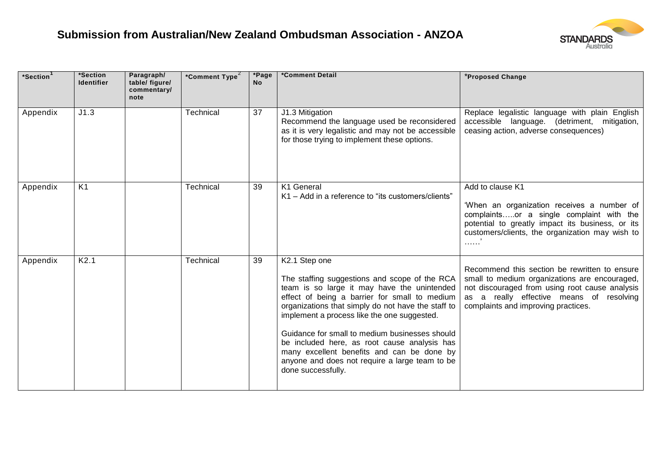

| *Section | *Section<br><b>Identifier</b> | Paragraph/<br>table/ figure/<br>commentary/<br>note | *Comment Type <sup>2</sup> | *Page<br><b>No</b> | *Comment Detail                                                                                                                                                                                                                                                                                                                                                                                                                                                                             | *Proposed Change                                                                                                                                                                                                                    |
|----------|-------------------------------|-----------------------------------------------------|----------------------------|--------------------|---------------------------------------------------------------------------------------------------------------------------------------------------------------------------------------------------------------------------------------------------------------------------------------------------------------------------------------------------------------------------------------------------------------------------------------------------------------------------------------------|-------------------------------------------------------------------------------------------------------------------------------------------------------------------------------------------------------------------------------------|
| Appendix | J1.3                          |                                                     | Technical                  | 37                 | J1.3 Mitigation<br>Recommend the language used be reconsidered<br>as it is very legalistic and may not be accessible<br>for those trying to implement these options.                                                                                                                                                                                                                                                                                                                        | Replace legalistic language with plain English<br>accessible language. (detriment, mitigation,<br>ceasing action, adverse consequences)                                                                                             |
| Appendix | K <sub>1</sub>                |                                                     | Technical                  | 39                 | K1 General<br>K1 – Add in a reference to "its customers/clients"                                                                                                                                                                                                                                                                                                                                                                                                                            | Add to clause K1<br>'When an organization receives a number of<br>complaintsor a single complaint with the<br>potential to greatly impact its business, or its<br>customers/clients, the organization may wish to                   |
| Appendix | K2.1                          |                                                     | Technical                  | 39                 | K2.1 Step one<br>The staffing suggestions and scope of the RCA<br>team is so large it may have the unintended<br>effect of being a barrier for small to medium<br>organizations that simply do not have the staff to<br>implement a process like the one suggested.<br>Guidance for small to medium businesses should<br>be included here, as root cause analysis has<br>many excellent benefits and can be done by<br>anyone and does not require a large team to be<br>done successfully. | Recommend this section be rewritten to ensure<br>small to medium organizations are encouraged,<br>not discouraged from using root cause analysis<br>as a really effective means of resolving<br>complaints and improving practices. |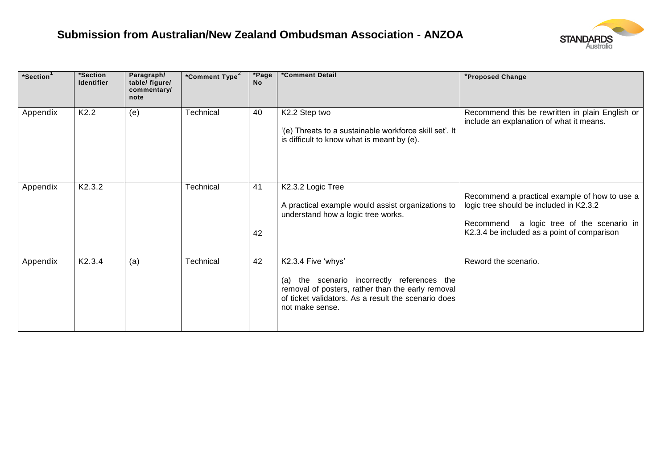

| *Section <sup>1</sup> | *Section<br><b>Identifier</b> | Paragraph/<br>table/ figure/<br>commentary/<br>note | *Comment Type <sup>2</sup> | *Page<br><b>No</b> | *Comment Detail                                                                                                                                                                                  | *Proposed Change                                                                                                                                                                        |
|-----------------------|-------------------------------|-----------------------------------------------------|----------------------------|--------------------|--------------------------------------------------------------------------------------------------------------------------------------------------------------------------------------------------|-----------------------------------------------------------------------------------------------------------------------------------------------------------------------------------------|
| Appendix              | K <sub>2.2</sub>              | (e)                                                 | Technical                  | 40                 | K2.2 Step two<br>'(e) Threats to a sustainable workforce skill set'. It<br>is difficult to know what is meant by (e).                                                                            | Recommend this be rewritten in plain English or<br>include an explanation of what it means.                                                                                             |
| Appendix              | K2.3.2                        |                                                     | Technical                  | 41<br>42           | K2.3.2 Logic Tree<br>A practical example would assist organizations to<br>understand how a logic tree works.                                                                                     | Recommend a practical example of how to use a<br>logic tree should be included in K2.3.2<br>a logic tree of the scenario in<br>Recommend<br>K2.3.4 be included as a point of comparison |
| Appendix              | K2.3.4                        | (a)                                                 | Technical                  | 42                 | K2.3.4 Five 'whys'<br>(a) the scenario incorrectly references the<br>removal of posters, rather than the early removal<br>of ticket validators. As a result the scenario does<br>not make sense. | Reword the scenario.                                                                                                                                                                    |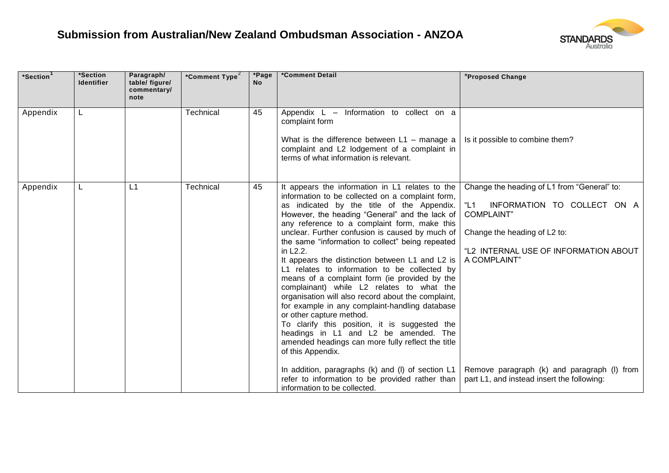

| *Section | *Section<br><b>Identifier</b> | Paragraph/<br>table/ figure/<br>commentary/<br>note | *Comment Type <sup>2</sup> | *Page<br><b>No</b> | *Comment Detail                                                                                                                                                                                                                                                                                                                                                                                                                                                                                                                                                                                                                                                                                                                                                                                                                                                                                                                                                                                                         | *Proposed Change                                                                                                                                                                                                                                                                               |
|----------|-------------------------------|-----------------------------------------------------|----------------------------|--------------------|-------------------------------------------------------------------------------------------------------------------------------------------------------------------------------------------------------------------------------------------------------------------------------------------------------------------------------------------------------------------------------------------------------------------------------------------------------------------------------------------------------------------------------------------------------------------------------------------------------------------------------------------------------------------------------------------------------------------------------------------------------------------------------------------------------------------------------------------------------------------------------------------------------------------------------------------------------------------------------------------------------------------------|------------------------------------------------------------------------------------------------------------------------------------------------------------------------------------------------------------------------------------------------------------------------------------------------|
| Appendix | L                             |                                                     | Technical                  | 45                 | Appendix L - Information to collect on a<br>complaint form<br>What is the difference between $L1$ – manage a<br>complaint and L2 lodgement of a complaint in<br>terms of what information is relevant.                                                                                                                                                                                                                                                                                                                                                                                                                                                                                                                                                                                                                                                                                                                                                                                                                  | Is it possible to combine them?                                                                                                                                                                                                                                                                |
| Appendix | L                             | L1                                                  | Technical                  | 45                 | It appears the information in L1 relates to the<br>information to be collected on a complaint form,<br>as indicated by the title of the Appendix.<br>However, the heading "General" and the lack of<br>any reference to a complaint form, make this<br>unclear. Further confusion is caused by much of<br>the same "information to collect" being repeated<br>in L2.2.<br>It appears the distinction between L1 and L2 is<br>L1 relates to information to be collected by<br>means of a complaint form (ie provided by the<br>complainant) while L2 relates to what the<br>organisation will also record about the complaint,<br>for example in any complaint-handling database<br>or other capture method.<br>To clarify this position, it is suggested the<br>headings in L1 and L2 be amended. The<br>amended headings can more fully reflect the title<br>of this Appendix.<br>In addition, paragraphs (k) and (l) of section L1<br>refer to information to be provided rather than<br>information to be collected. | Change the heading of L1 from "General" to:<br>"L1"<br>INFORMATION TO COLLECT ON A<br><b>COMPLAINT</b> "<br>Change the heading of L2 to:<br>"L2 INTERNAL USE OF INFORMATION ABOUT<br>A COMPLAINT"<br>Remove paragraph (k) and paragraph (I) from<br>part L1, and instead insert the following: |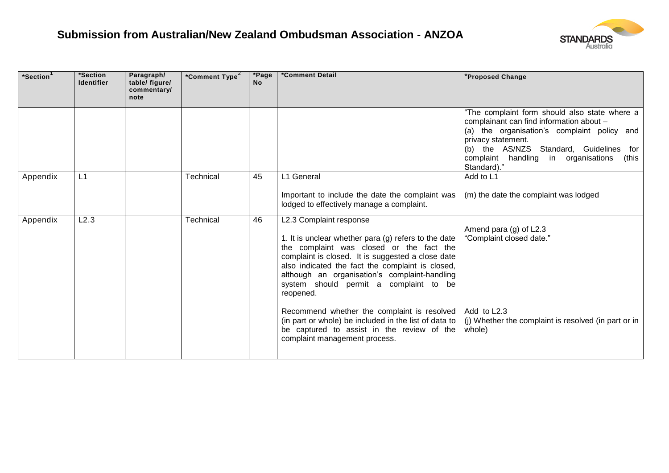

| *Section | *Section<br><b>Identifier</b> | Paragraph/<br>table/ figure/<br>commentary/<br>note | *Comment Type <sup>2</sup> | *Page<br><b>No</b> | *Comment Detail                                                                                                                                                                                                                                                                                                                              | *Proposed Change                                                                                                                                                                                                                                                         |
|----------|-------------------------------|-----------------------------------------------------|----------------------------|--------------------|----------------------------------------------------------------------------------------------------------------------------------------------------------------------------------------------------------------------------------------------------------------------------------------------------------------------------------------------|--------------------------------------------------------------------------------------------------------------------------------------------------------------------------------------------------------------------------------------------------------------------------|
|          |                               |                                                     |                            |                    |                                                                                                                                                                                                                                                                                                                                              | "The complaint form should also state where a<br>complainant can find information about -<br>(a) the organisation's complaint policy and<br>privacy statement.<br>(b) the AS/NZS Standard, Guidelines for<br>complaint handling in organisations<br>(this<br>Standard)." |
| Appendix | L1                            |                                                     | Technical                  | 45                 | L1 General<br>Important to include the date the complaint was<br>lodged to effectively manage a complaint.                                                                                                                                                                                                                                   | Add to L1<br>(m) the date the complaint was lodged                                                                                                                                                                                                                       |
| Appendix | L2.3                          |                                                     | Technical                  | 46                 | L2.3 Complaint response<br>1. It is unclear whether para (g) refers to the date<br>the complaint was closed or the fact the<br>complaint is closed. It is suggested a close date<br>also indicated the fact the complaint is closed,<br>although an organisation's complaint-handling<br>system should permit a complaint to be<br>reopened. | Amend para $(g)$ of L2.3<br>"Complaint closed date."                                                                                                                                                                                                                     |
|          |                               |                                                     |                            |                    | Recommend whether the complaint is resolved<br>(in part or whole) be included in the list of data to  <br>be captured to assist in the review of the<br>complaint management process.                                                                                                                                                        | Add to L2.3<br>(i) Whether the complaint is resolved (in part or in<br>whole)                                                                                                                                                                                            |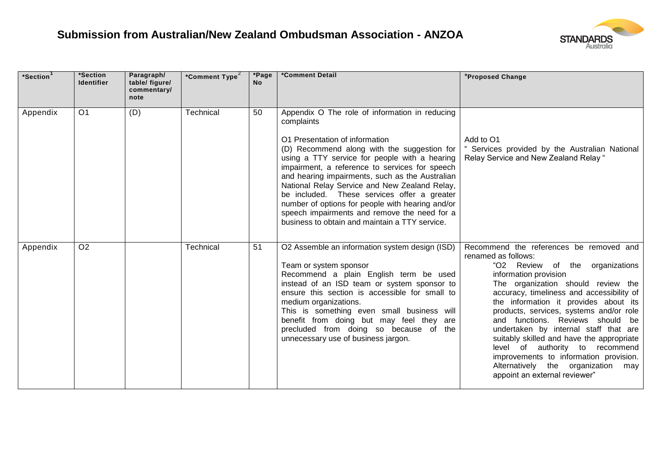

| $^*$ Section $^{\top}$ | *Section<br><b>Identifier</b> | Paragraph/<br>table/ figure/<br>commentary/<br>note | *Comment Type <sup>2</sup> | *Page<br><b>No</b> | *Comment Detail                                                                                                                                                                                                                                                                                                                                                                                                                                                                                                                                           | *Proposed Change                                                                                                                                                                                                                                                                                                                                                                                                                                                                                                                                                                   |
|------------------------|-------------------------------|-----------------------------------------------------|----------------------------|--------------------|-----------------------------------------------------------------------------------------------------------------------------------------------------------------------------------------------------------------------------------------------------------------------------------------------------------------------------------------------------------------------------------------------------------------------------------------------------------------------------------------------------------------------------------------------------------|------------------------------------------------------------------------------------------------------------------------------------------------------------------------------------------------------------------------------------------------------------------------------------------------------------------------------------------------------------------------------------------------------------------------------------------------------------------------------------------------------------------------------------------------------------------------------------|
| Appendix               | O <sub>1</sub>                | (D)                                                 | Technical                  | 50                 | Appendix O The role of information in reducing<br>complaints<br>O1 Presentation of information<br>(D) Recommend along with the suggestion for<br>using a TTY service for people with a hearing<br>impairment, a reference to services for speech<br>and hearing impairments, such as the Australian<br>National Relay Service and New Zealand Relay,<br>be included. These services offer a greater<br>number of options for people with hearing and/or<br>speech impairments and remove the need for a<br>business to obtain and maintain a TTY service. | Add to O1<br>" Services provided by the Australian National<br>Relay Service and New Zealand Relay "                                                                                                                                                                                                                                                                                                                                                                                                                                                                               |
| Appendix               | O <sub>2</sub>                |                                                     | Technical                  | 51                 | O2 Assemble an information system design (ISD)<br>Team or system sponsor<br>Recommend a plain English term be used<br>instead of an ISD team or system sponsor to<br>ensure this section is accessible for small to<br>medium organizations.<br>This is something even small business will<br>benefit from doing but may feel they are<br>precluded from doing so because of the<br>unnecessary use of business jargon.                                                                                                                                   | Recommend the references be removed and<br>renamed as follows:<br>"O2 Review of the organizations<br>information provision<br>The organization should review the<br>accuracy, timeliness and accessibility of<br>the information it provides about its<br>products, services, systems and/or role<br>and functions. Reviews should be<br>undertaken by internal staff that are<br>suitably skilled and have the appropriate<br>level of authority to recommend<br>improvements to information provision.<br>Alternatively the organization<br>may<br>appoint an external reviewer" |